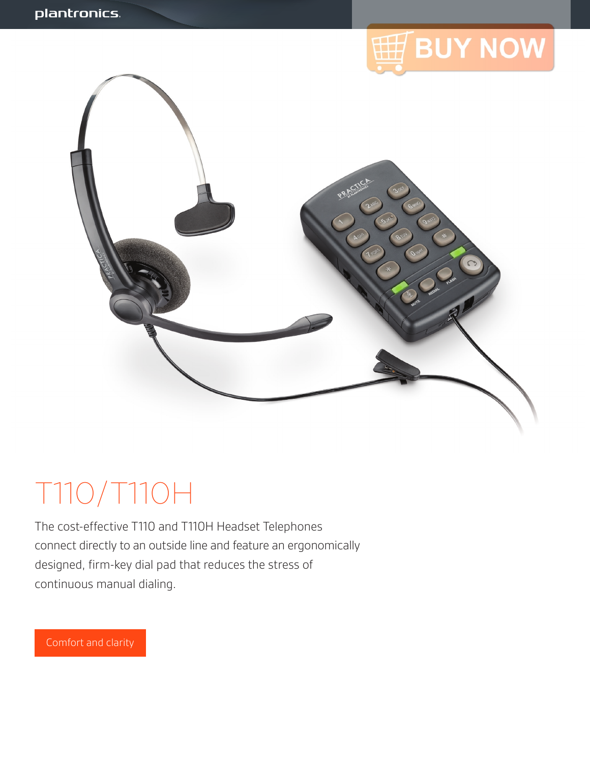

# T110/T110H

The cost-effective T110 and T110H Headset Telephones connect directly to an outside line and feature an ergonomically designed, firm-key dial pad that reduces the stress of continuous manual dialing.

Comfort and clarity